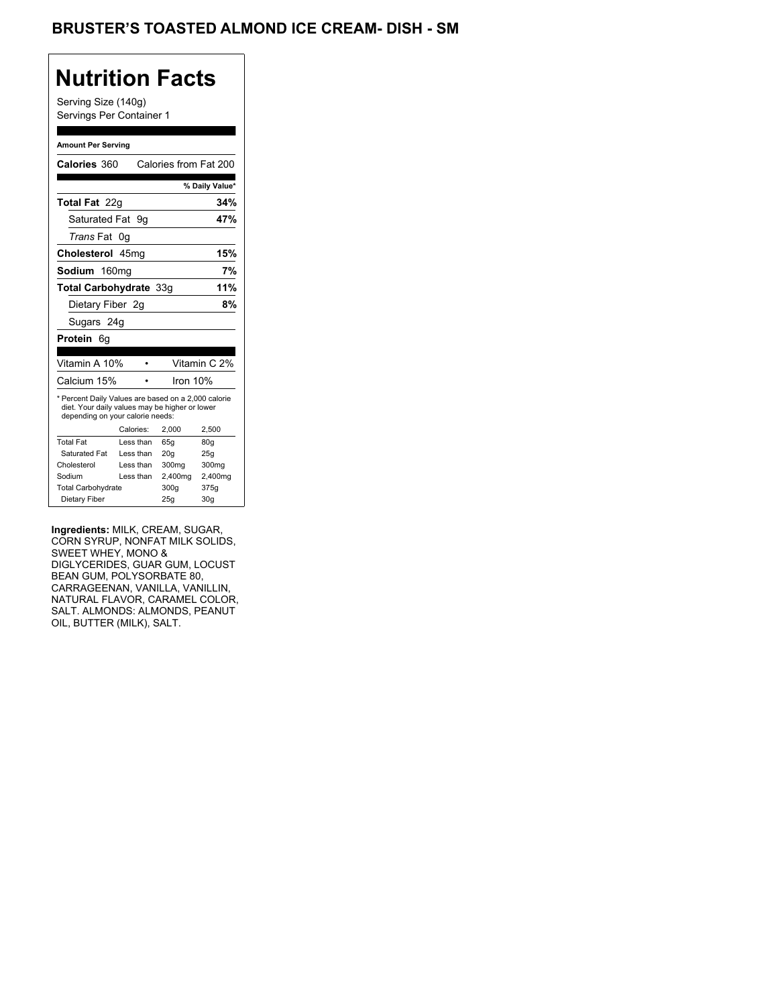## BRUSTER'S TOASTED ALMOND ICE CREAM- DISH - SM

## **Nutrition Facts**

Serving Size (140g) Servings Per Container 1

#### **Amount Per Serving**

| Calories 360                                                                                                                              |           |           | Calories from Fat 200 |                 |
|-------------------------------------------------------------------------------------------------------------------------------------------|-----------|-----------|-----------------------|-----------------|
|                                                                                                                                           |           |           |                       | % Daily Value*  |
| Total Fat 22g                                                                                                                             |           |           |                       | 34%             |
| Saturated Fat                                                                                                                             |           | 9g        |                       | 47%             |
| <i>Trans</i> Fat                                                                                                                          | 0g        |           |                       |                 |
| Cholesterol 45mg                                                                                                                          |           |           |                       | 15%             |
| Sodium 160mg                                                                                                                              |           |           |                       | 7%              |
| Total Carbohydrate 33q                                                                                                                    |           |           |                       | 11%             |
| Dietary Fiber 2q                                                                                                                          |           |           |                       | 8%              |
| Sugars 24g                                                                                                                                |           |           |                       |                 |
| Protein 6q                                                                                                                                |           |           |                       |                 |
|                                                                                                                                           |           |           |                       |                 |
| Vitamin A 10%                                                                                                                             |           |           |                       | Vitamin C 2%    |
| Calcium 15%                                                                                                                               |           |           | Iron 10%              |                 |
| * Percent Daily Values are based on a 2,000 calorie<br>diet. Your daily values may be higher or lower<br>depending on your calorie needs: |           |           |                       |                 |
|                                                                                                                                           | Calories: |           | 2,000                 | 2,500           |
| <b>Total Fat</b>                                                                                                                          |           | Less than | 65q                   | 80q             |
| Saturated Fat                                                                                                                             |           | Less than | 20q                   | 25g             |
| Cholesterol                                                                                                                               |           | Less than | 300mg                 | 300mg           |
| Sodium                                                                                                                                    |           | Less than | 2,400mg               | 2,400mg         |
| <b>Total Carbohydrate</b>                                                                                                                 |           |           | 300a                  | 375g            |
| Dietary Fiber                                                                                                                             |           |           | 25q                   | 30 <sub>g</sub> |

**Ingredients:** MILK, CREAM, SUGAR, CORN SYRUP, NONFAT MILK SOLIDS, SWEET WHEY, MONO & DIGLYCERIDES, GUAR GUM, LOCUST BEAN GUM, POLYSORBATE 80, CARRAGEENAN, VANILLA, VANILLIN, NATURAL FLAVOR, CARAMEL COLOR, SALT. ALMONDS: ALMONDS, PEANUT OIL, BUTTER (MILK), SALT.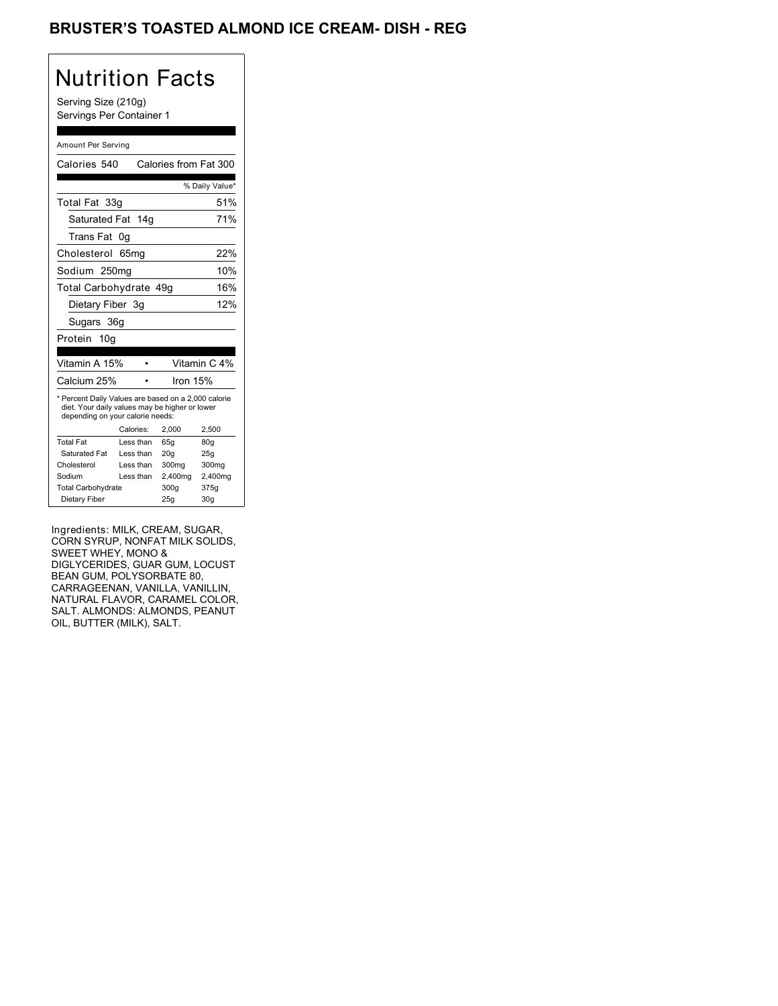## BRUSTER'S TOASTED ALMOND ICE CREAM- DISH - REG

## Nutrition Facts

Serving Size (210g) Servings Per Container 1

#### Amount Per Serving

| Calories 540                                                                                                                              |                  |     | Calories from Fat 300 |          |                |
|-------------------------------------------------------------------------------------------------------------------------------------------|------------------|-----|-----------------------|----------|----------------|
|                                                                                                                                           |                  |     |                       |          | % Daily Value* |
| Total Fat 33g                                                                                                                             |                  |     |                       |          | 51%            |
| Saturated Fat 14g                                                                                                                         |                  |     |                       |          | 71%            |
| Trans Fat                                                                                                                                 | 0g               |     |                       |          |                |
| Cholesterol                                                                                                                               | 65 <sub>mg</sub> |     |                       |          | 22%            |
| Sodium 250mg                                                                                                                              |                  |     |                       |          | 10%            |
| Total Carbohydrate 49g                                                                                                                    |                  |     |                       |          | 16%            |
| Dietary Fiber 3g                                                                                                                          |                  |     |                       |          | 12%            |
| Sugars 36g                                                                                                                                |                  |     |                       |          |                |
| Protein 10g                                                                                                                               |                  |     |                       |          |                |
|                                                                                                                                           |                  |     |                       |          |                |
| Vitamin A 15%                                                                                                                             |                  |     |                       |          | Vitamin C 4%   |
| Calcium 25%                                                                                                                               |                  |     |                       | Iron 15% |                |
| * Percent Daily Values are based on a 2,000 calorie<br>diet. Your daily values may be higher or lower<br>depending on your calorie needs: |                  |     |                       |          |                |
|                                                                                                                                           | Calories:        |     | 2,000                 | 2,500    |                |
| <b>Total Fat</b>                                                                                                                          | Less than        |     | 65q                   | 80q      |                |
| Saturated Fat                                                                                                                             | Less than        |     | 20q                   | 25g      |                |
| Cholesterol                                                                                                                               | Less than        |     | 300mg                 |          | 300mg          |
| Sodium                                                                                                                                    | Less than        |     | 2,400mg               |          | 2,400mg        |
| <b>Total Carbohydrate</b>                                                                                                                 |                  |     | 300g                  | 375g     |                |
| Dietary Fiber                                                                                                                             |                  | 25q | 30 <sub>q</sub>       |          |                |

Ingredients: MILK, CREAM, SUGAR, CORN SYRUP, NONFAT MILK SOLIDS, SWEET WHEY, MONO & DIGLYCERIDES, GUAR GUM, LOCUST BEAN GUM, POLYSORBATE 80, CARRAGEENAN, VANILLA, VANILLIN, NATURAL FLAVOR, CARAMEL COLOR, SALT. ALMONDS: ALMONDS, PEANUT OIL, BUTTER (MILK), SALT.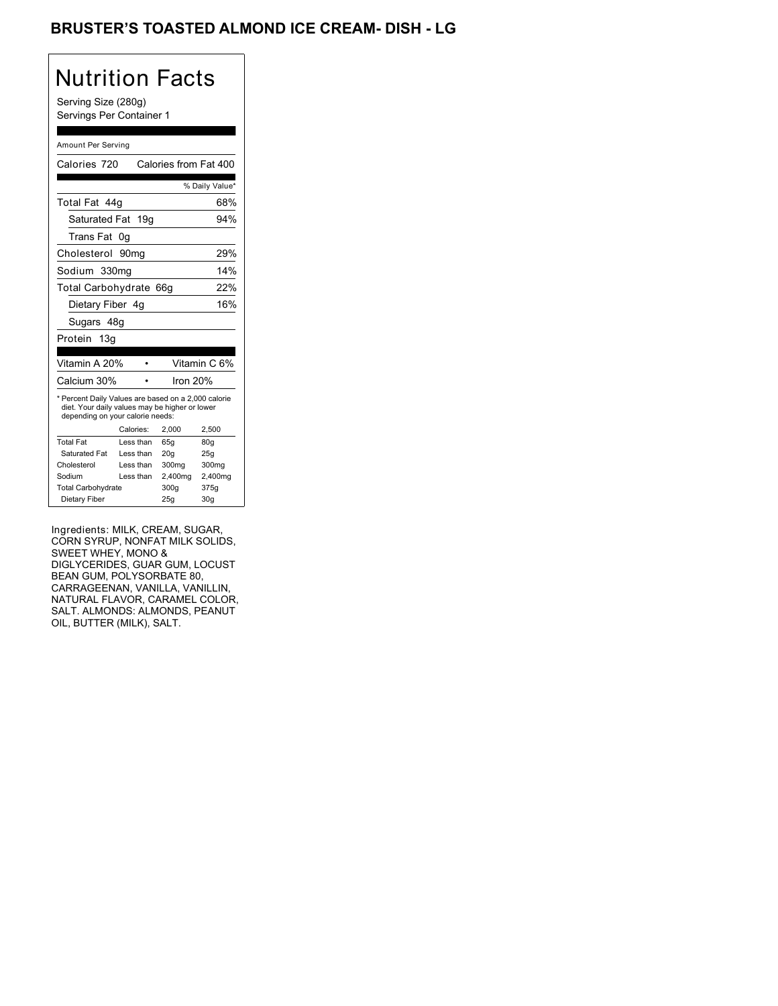## BRUSTER'S TOASTED ALMOND ICE CREAM- DISH - LG

# Nutrition Facts

Serving Size (280g) Servings Per Container 1

#### Amount Per Serving

| Calories 720                                                                                                                              |           |           | Calories from Fat 400 |                 |
|-------------------------------------------------------------------------------------------------------------------------------------------|-----------|-----------|-----------------------|-----------------|
|                                                                                                                                           |           |           |                       | % Daily Value*  |
| Total Fat 44q                                                                                                                             |           |           |                       | 68%             |
| Saturated Fat 19g                                                                                                                         |           |           |                       | 94%             |
| Trans Fat                                                                                                                                 | 0g        |           |                       |                 |
| Cholesterol 90mg                                                                                                                          |           |           |                       | 29%             |
| Sodium 330mg                                                                                                                              |           |           |                       | 14%             |
| Total Carbohydrate                                                                                                                        |           |           | 66q                   | 22%             |
| Dietary Fiber 4q                                                                                                                          |           |           |                       | 16%             |
| Sugars 48g                                                                                                                                |           |           |                       |                 |
| Protein 13g                                                                                                                               |           |           |                       |                 |
|                                                                                                                                           |           |           |                       |                 |
| Vitamin A 20%                                                                                                                             |           |           |                       | Vitamin C 6%    |
| Calcium 30%                                                                                                                               |           |           | Iron 20%              |                 |
| * Percent Daily Values are based on a 2,000 calorie<br>diet. Your daily values may be higher or lower<br>depending on your calorie needs: |           |           |                       |                 |
|                                                                                                                                           | Calories: |           | 2.000                 | 2,500           |
| <b>Total Fat</b>                                                                                                                          | Less than |           | 65q                   | 80q             |
| Saturated Fat                                                                                                                             | Less than |           | 20q                   | 25q             |
| Cholesterol                                                                                                                               | Less than |           | 300mg                 | 300mg           |
| Sodium                                                                                                                                    |           | Less than | 2,400mg               | 2,400mg         |
| <b>Total Carbohydrate</b>                                                                                                                 |           |           | 300a                  | 375g            |
| Dietary Fiber                                                                                                                             |           |           | 25q                   | 30 <sub>g</sub> |

Ingredients: MILK, CREAM, SUGAR, CORN SYRUP, NONFAT MILK SOLIDS, SWEET WHEY, MONO & DIGLYCERIDES, GUAR GUM, LOCUST BEAN GUM, POLYSORBATE 80, CARRAGEENAN, VANILLA, VANILLIN, NATURAL FLAVOR, CARAMEL COLOR, SALT. ALMONDS: ALMONDS, PEANUT OIL, BUTTER (MILK), SALT.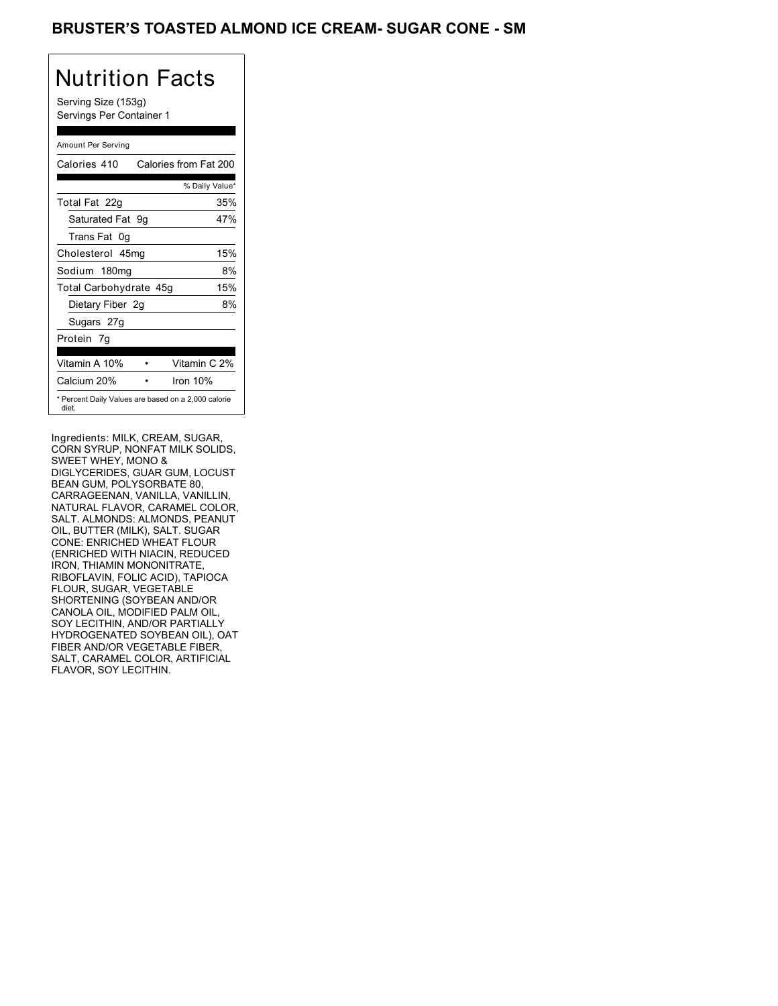## BRUSTER'S TOASTED ALMOND ICE CREAM- SUGAR CONE - SM

# Nutrition Facts

Serving Size (153g) Servings Per Container 1

### Amount Per Serving

| Calories 410           | Calories from Fat 200                               |
|------------------------|-----------------------------------------------------|
|                        | % Daily Value*                                      |
| Total Fat 22g          | 35%                                                 |
| Saturated Fat 9g       | 47%                                                 |
| Trans Fat 0q           |                                                     |
| Cholesterol 45mg       | 15%                                                 |
| Sodium 180mg           | 8%                                                  |
| Total Carbohydrate 45g | 15%                                                 |
| Dietary Fiber 2g       | 8%                                                  |
| Sugars 27g             |                                                     |
| Protein 7q             |                                                     |
| Vitamin A 10%          | Vitamin C 2%                                        |
| Calcium 20%            | Iron 10%                                            |
| diet.                  | * Percent Daily Values are based on a 2,000 calorie |

Ingredients: MILK, CREAM, SUGAR, CORN SYRUP, NONFAT MILK SOLIDS, SWEET WHEY, MONO & DIGLYCERIDES, GUAR GUM, LOCUST BEAN GUM, POLYSORBATE 80, CARRAGEENAN, VANILLA, VANILLIN, NATURAL FLAVOR, CARAMEL COLOR, SALT. ALMONDS: ALMONDS, PEANUT OIL, BUTTER (MILK), SALT. SUGAR CONE: ENRICHED WHEAT FLOUR (ENRICHED WITH NIACIN, REDUCED IRON, THIAMIN MONONITRATE, RIBOFLAVIN, FOLIC ACID), TAPIOCA FLOUR, SUGAR, VEGETABLE SHORTENING (SOYBEAN AND/OR CANOLA OIL, MODIFIED PALM OIL, SOY LECITHIN, AND/OR PARTIALLY HYDROGENATED SOYBEAN OIL), OAT FIBER AND/OR VEGETABLE FIBER, SALT, CARAMEL COLOR, ARTIFICIAL FLAVOR, SOY LECITHIN.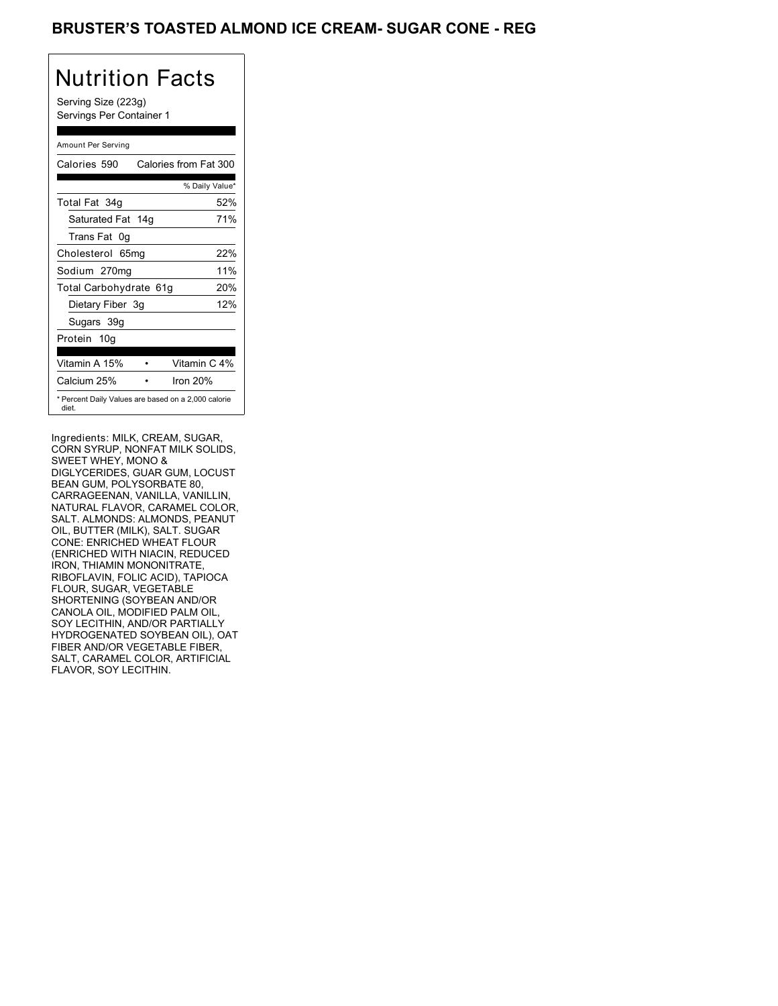## BRUSTER'S TOASTED ALMOND ICE CREAM- SUGAR CONE - REG

# Nutrition Facts

Serving Size (223g) Servings Per Container 1

### Amount Per Serving

| Calories 590           | Calories from Fat 300                               |
|------------------------|-----------------------------------------------------|
|                        | % Daily Value*                                      |
| Total Fat 34g          | 52%                                                 |
| Saturated Fat 14g      | 71%                                                 |
| Trans Fat 0q           |                                                     |
| Cholesterol 65mg       | 22%                                                 |
| Sodium 270mg           | 11%                                                 |
| Total Carbohydrate 61g | 20%                                                 |
| Dietary Fiber 3g       | 12%                                                 |
| Sugars 39g             |                                                     |
| Protein 10g            |                                                     |
| Vitamin A 15%          | Vitamin C 4%                                        |
| Calcium 25%            | Iron $20%$                                          |
| diet.                  | * Percent Daily Values are based on a 2,000 calorie |

Ingredients: MILK, CREAM, SUGAR, CORN SYRUP, NONFAT MILK SOLIDS, SWEET WHEY, MONO & DIGLYCERIDES, GUAR GUM, LOCUST BEAN GUM, POLYSORBATE 80, CARRAGEENAN, VANILLA, VANILLIN, NATURAL FLAVOR, CARAMEL COLOR, SALT. ALMONDS: ALMONDS, PEANUT OIL, BUTTER (MILK), SALT. SUGAR CONE: ENRICHED WHEAT FLOUR (ENRICHED WITH NIACIN, REDUCED IRON, THIAMIN MONONITRATE, RIBOFLAVIN, FOLIC ACID), TAPIOCA FLOUR, SUGAR, VEGETABLE SHORTENING (SOYBEAN AND/OR CANOLA OIL, MODIFIED PALM OIL, SOY LECITHIN, AND/OR PARTIALLY HYDROGENATED SOYBEAN OIL), OAT FIBER AND/OR VEGETABLE FIBER, SALT, CARAMEL COLOR, ARTIFICIAL FLAVOR, SOY LECITHIN.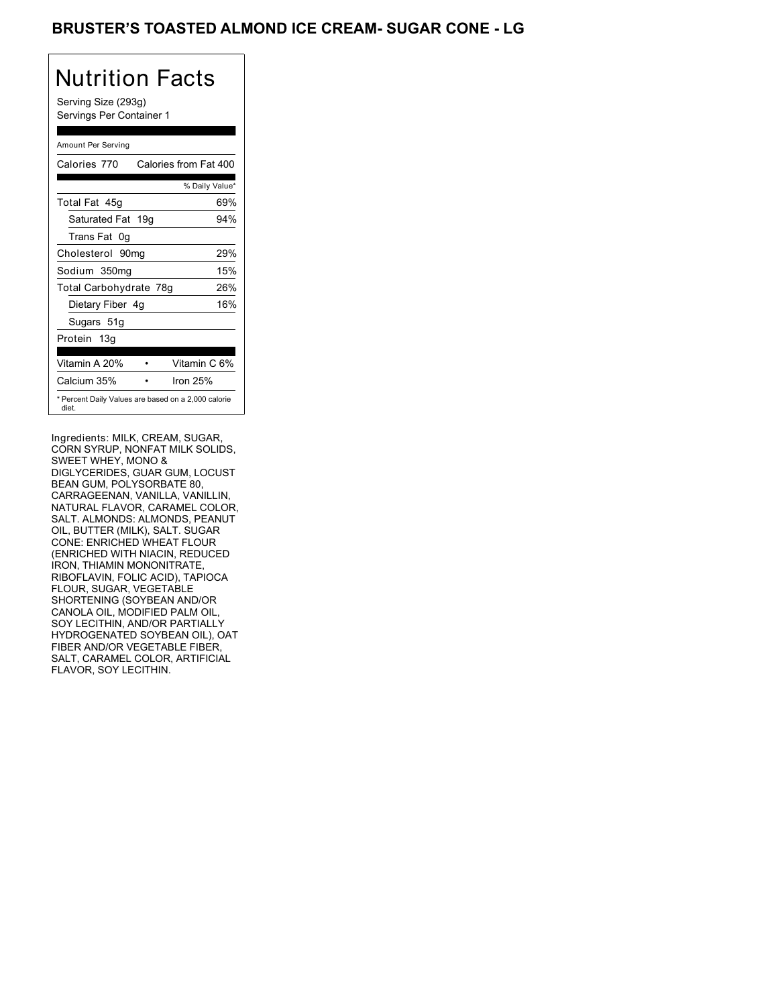## BRUSTER'S TOASTED ALMOND ICE CREAM- SUGAR CONE - LG

# Nutrition Facts

Serving Size (293g) Servings Per Container 1

### Amount Per Serving

| Calories 770           | Calories from Fat 400                               |
|------------------------|-----------------------------------------------------|
|                        | % Daily Value*                                      |
| Total Fat 45g          | 69%                                                 |
| Saturated Fat 19g      | 94%                                                 |
| Trans Fat 0q           |                                                     |
| Cholesterol 90mg       | 29%                                                 |
| Sodium 350mg           | 15%                                                 |
| Total Carbohydrate 78g | 26%                                                 |
| Dietary Fiber 4g       | 16%                                                 |
| Sugars 51g             |                                                     |
| Protein 13g            |                                                     |
| Vitamin A 20%          | Vitamin C 6%                                        |
| Calcium 35%            | Iron $25%$                                          |
| diet.                  | * Percent Daily Values are based on a 2,000 calorie |

Ingredients: MILK, CREAM, SUGAR, CORN SYRUP, NONFAT MILK SOLIDS, SWEET WHEY, MONO & DIGLYCERIDES, GUAR GUM, LOCUST BEAN GUM, POLYSORBATE 80, CARRAGEENAN, VANILLA, VANILLIN, NATURAL FLAVOR, CARAMEL COLOR, SALT. ALMONDS: ALMONDS, PEANUT OIL, BUTTER (MILK), SALT. SUGAR CONE: ENRICHED WHEAT FLOUR (ENRICHED WITH NIACIN, REDUCED IRON, THIAMIN MONONITRATE, RIBOFLAVIN, FOLIC ACID), TAPIOCA FLOUR, SUGAR, VEGETABLE SHORTENING (SOYBEAN AND/OR CANOLA OIL, MODIFIED PALM OIL, SOY LECITHIN, AND/OR PARTIALLY HYDROGENATED SOYBEAN OIL), OAT FIBER AND/OR VEGETABLE FIBER, SALT, CARAMEL COLOR, ARTIFICIAL FLAVOR, SOY LECITHIN.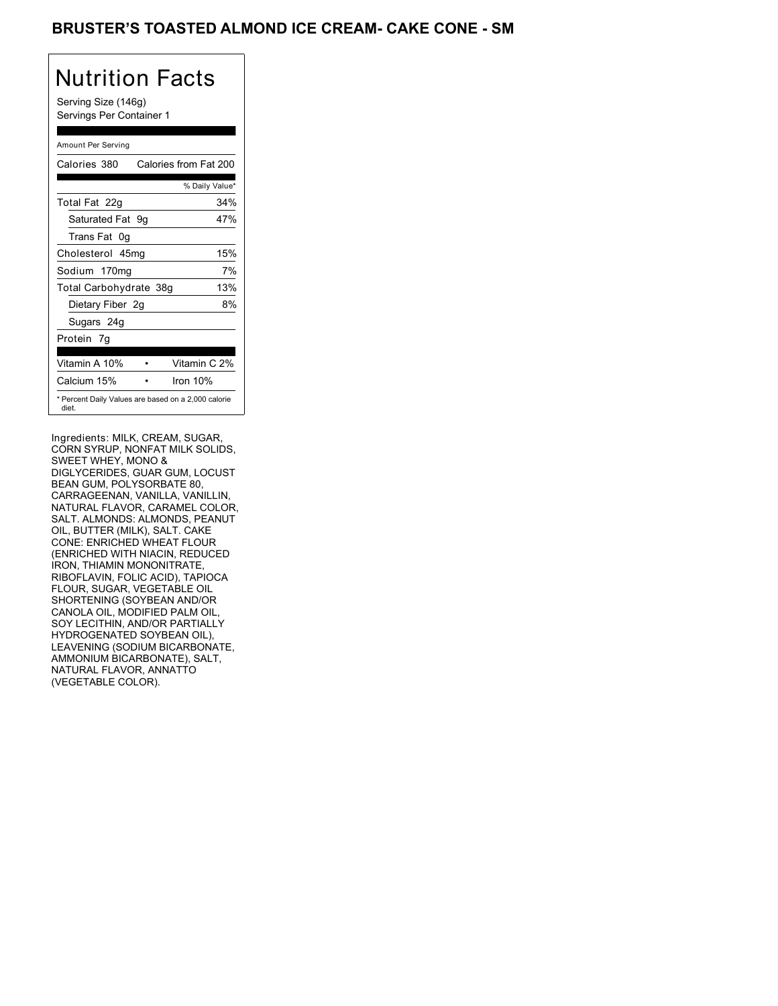## BRUSTER'S TOASTED ALMOND ICE CREAM- CAKE CONE - SM

## Nutrition Facts

Serving Size (146g) Servings Per Container 1

### Amount Per Serving

| Calories 380           | Calories from Fat 200                               |
|------------------------|-----------------------------------------------------|
|                        | % Daily Value*                                      |
| Total Fat 22g          | 34%                                                 |
| Saturated Fat 9g       | 47%                                                 |
| Trans Fat 0q           |                                                     |
| Cholesterol 45mg       | 15%                                                 |
| Sodium 170mg           | 7%                                                  |
| Total Carbohydrate 38g | 13%                                                 |
| Dietary Fiber 2g       | 8%                                                  |
| Sugars 24g             |                                                     |
| Protein 7q             |                                                     |
| Vitamin A 10%          | Vitamin C 2%                                        |
| Calcium 15%            | Iron 10%                                            |
| diet.                  | * Percent Daily Values are based on a 2,000 calorie |

Ingredients: MILK, CREAM, SUGAR, CORN SYRUP, NONFAT MILK SOLIDS, SWEET WHEY, MONO & DIGLYCERIDES, GUAR GUM, LOCUST BEAN GUM, POLYSORBATE 80, CARRAGEENAN, VANILLA, VANILLIN, NATURAL FLAVOR, CARAMEL COLOR, SALT. ALMONDS: ALMONDS, PEANUT OIL, BUTTER (MILK), SALT. CAKE CONE: ENRICHED WHEAT FLOUR (ENRICHED WITH NIACIN, REDUCED IRON, THIAMIN MONONITRATE, RIBOFLAVIN, FOLIC ACID), TAPIOCA FLOUR, SUGAR, VEGETABLE OIL SHORTENING (SOYBEAN AND/OR CANOLA OIL, MODIFIED PALM OIL, SOY LECITHIN, AND/OR PARTIALLY HYDROGENATED SOYBEAN OIL), LEAVENING (SODIUM BICARBONATE, AMMONIUM BICARBONATE), SALT, NATURAL FLAVOR, ANNATTO (VEGETABLE COLOR).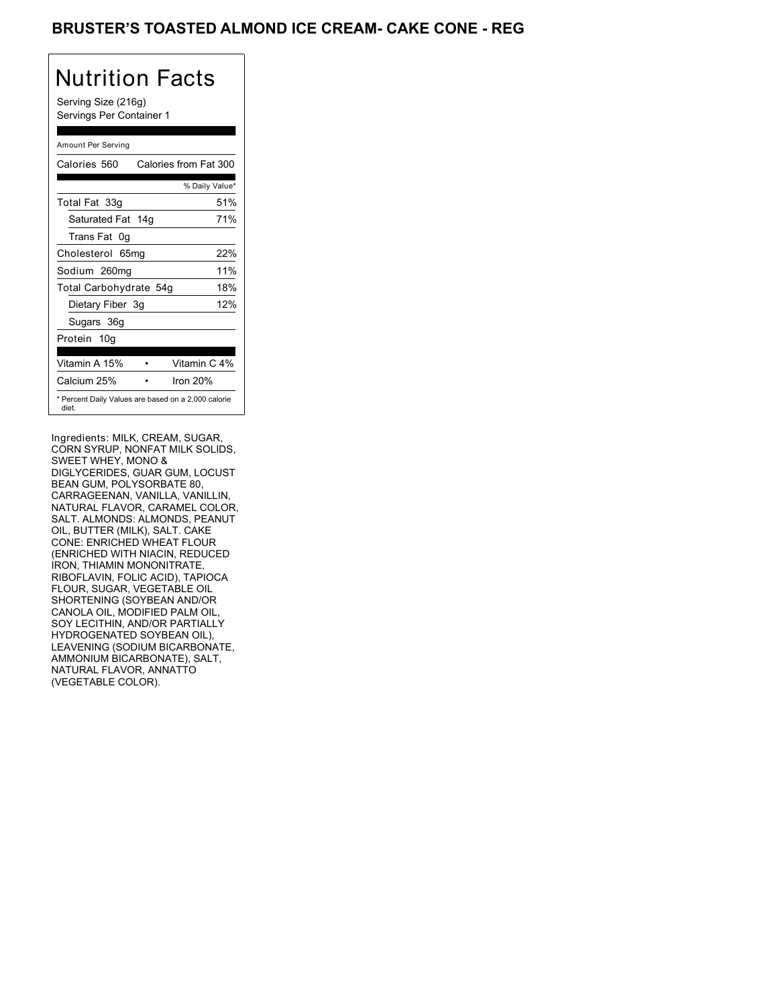## BRUSTER'S TOASTED ALMOND ICE CREAM- CAKE CONE - REG

# Nutrition Facts

Serving Size (216g) Servings Per Container 1

### Amount Per Serving

| Calories 560           | Calories from Fat 300                               |
|------------------------|-----------------------------------------------------|
|                        | % Daily Value*                                      |
| Total Fat 33g          | 51%                                                 |
| Saturated Fat 14g      | 71%                                                 |
| Trans Fat 0q           |                                                     |
| Cholesterol 65mg       | 22%                                                 |
| Sodium 260mg           | 11%                                                 |
| Total Carbohydrate 54g | 18%                                                 |
| Dietary Fiber 3g       | 12%                                                 |
| Sugars 36g             |                                                     |
| Protein 10q            |                                                     |
|                        |                                                     |
| Vitamin A 15%          | Vitamin C 4%                                        |
| Calcium 25%            | Iron $20%$                                          |
| diet.                  | * Percent Daily Values are based on a 2,000 calorie |

Ingredients: MILK, CREAM, SUGAR, CORN SYRUP, NONFAT MILK SOLIDS, SWEET WHEY, MONO & DIGLYCERIDES, GUAR GUM, LOCUST BEAN GUM, POLYSORBATE 80, CARRAGEENAN, VANILLA, VANILLIN, NATURAL FLAVOR, CARAMEL COLOR, SALT. ALMONDS: ALMONDS, PEANUT OIL, BUTTER (MILK), SALT. CAKE CONE: ENRICHED WHEAT FLOUR (ENRICHED WITH NIACIN, REDUCED IRON, THIAMIN MONONITRATE, RIBOFLAVIN, FOLIC ACID), TAPIOCA FLOUR, SUGAR, VEGETABLE OIL SHORTENING (SOYBEAN AND/OR CANOLA OIL, MODIFIED PALM OIL, SOY LECITHIN, AND/OR PARTIALLY HYDROGENATED SOYBEAN OIL), LEAVENING (SODIUM BICARBONATE, AMMONIUM BICARBONATE), SALT, NATURAL FLAVOR, ANNATTO (VEGETABLE COLOR).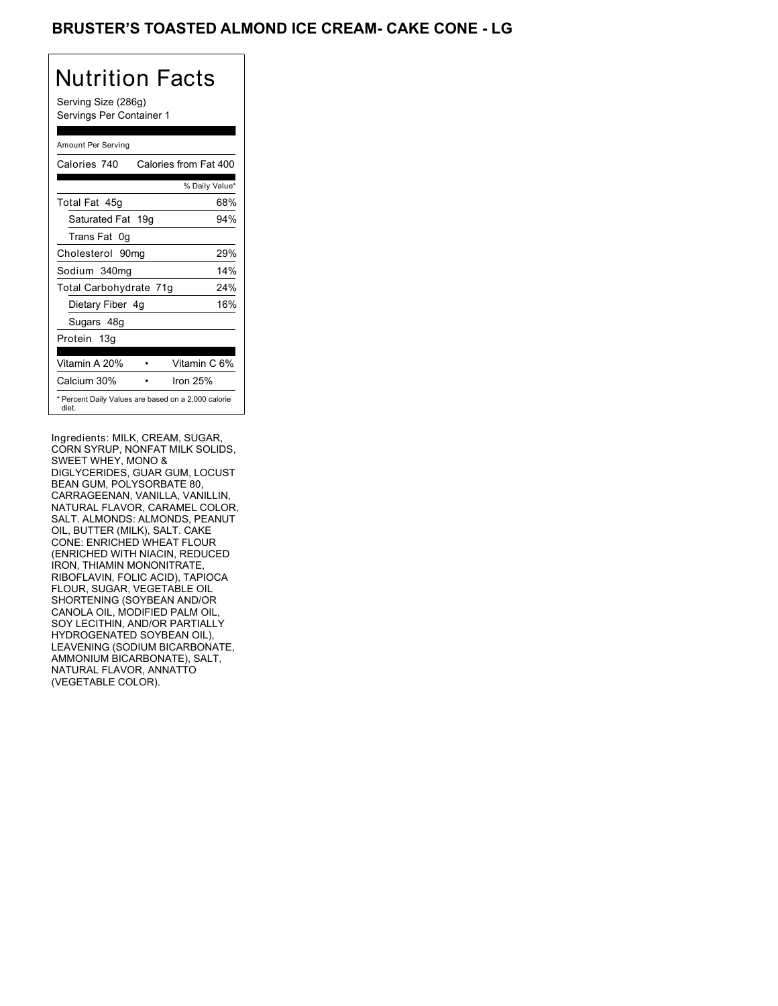## BRUSTER'S TOASTED ALMOND ICE CREAM- CAKE CONE - LG

# Nutrition Facts

Serving Size (286g) Servings Per Container 1

### Amount Per Serving

| Calories 740           | Calories from Fat 400                               |
|------------------------|-----------------------------------------------------|
|                        | % Daily Value*                                      |
| Total Fat 45g          | 68%                                                 |
| Saturated Fat 19g      | 94%                                                 |
| Trans Fat 0q           |                                                     |
| Cholesterol 90mg       | 29%                                                 |
| Sodium 340mg           | 14%                                                 |
| Total Carbohydrate 71g | 24%                                                 |
| Dietary Fiber 4g       | 16%                                                 |
| Sugars 48g             |                                                     |
| Protein 13g            |                                                     |
|                        |                                                     |
| Vitamin A 20%          | Vitamin C 6%                                        |
| Calcium 30%            | Iron 25%                                            |
| diet.                  | * Percent Daily Values are based on a 2,000 calorie |

Ingredients: MILK, CREAM, SUGAR, CORN SYRUP, NONFAT MILK SOLIDS, SWEET WHEY, MONO & DIGLYCERIDES, GUAR GUM, LOCUST BEAN GUM, POLYSORBATE 80, CARRAGEENAN, VANILLA, VANILLIN, NATURAL FLAVOR, CARAMEL COLOR, SALT. ALMONDS: ALMONDS, PEANUT OIL, BUTTER (MILK), SALT. CAKE CONE: ENRICHED WHEAT FLOUR (ENRICHED WITH NIACIN, REDUCED IRON, THIAMIN MONONITRATE, RIBOFLAVIN, FOLIC ACID), TAPIOCA FLOUR, SUGAR, VEGETABLE OIL SHORTENING (SOYBEAN AND/OR CANOLA OIL, MODIFIED PALM OIL, SOY LECITHIN, AND/OR PARTIALLY HYDROGENATED SOYBEAN OIL), LEAVENING (SODIUM BICARBONATE, AMMONIUM BICARBONATE), SALT, NATURAL FLAVOR, ANNATTO (VEGETABLE COLOR).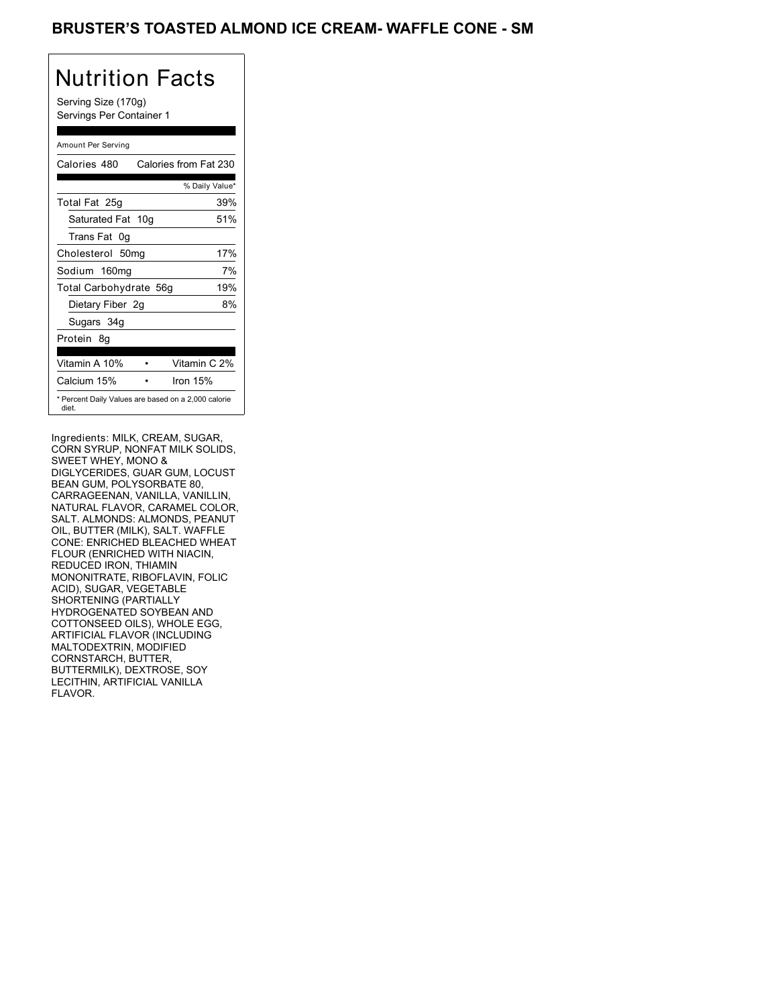## BRUSTER'S TOASTED ALMOND ICE CREAM- WAFFLE CONE - SM

## Nutrition Facts

Serving Size (170g) Servings Per Container 1

### Amount Per Serving

| Calories 480           | Calories from Fat 230                               |
|------------------------|-----------------------------------------------------|
|                        | % Daily Value*                                      |
| Total Fat 25g          | 39%                                                 |
| Saturated Fat 10g      | 51%                                                 |
| Trans Fat 0q           |                                                     |
| Cholesterol 50mg       | 17%                                                 |
| Sodium 160mg           | 7%                                                  |
| Total Carbohydrate 56g | 19%                                                 |
| Dietary Fiber 2g       | 8%                                                  |
| Sugars 34g             |                                                     |
| Protein 8q             |                                                     |
| Vitamin A 10%          | Vitamin C 2%                                        |
| Calcium 15%            | Iron 15%                                            |
| diet.                  | * Percent Daily Values are based on a 2,000 calorie |

Ingredients: MILK, CREAM, SUGAR, CORN SYRUP, NONFAT MILK SOLIDS, SWEET WHEY, MONO & DIGLYCERIDES, GUAR GUM, LOCUST BEAN GUM, POLYSORBATE 80, CARRAGEENAN, VANILLA, VANILLIN, NATURAL FLAVOR, CARAMEL COLOR, SALT. ALMONDS: ALMONDS, PEANUT OIL, BUTTER (MILK), SALT. WAFFLE CONE: ENRICHED BLEACHED WHEAT FLOUR (ENRICHED WITH NIACIN, REDUCED IRON, THIAMIN MONONITRATE, RIBOFLAVIN, FOLIC ACID), SUGAR, VEGETABLE SHORTENING (PARTIALLY HYDROGENATED SOYBEAN AND COTTONSEED OILS), WHOLE EGG, ARTIFICIAL FLAVOR (INCLUDING MALTODEXTRIN, MODIFIED CORNSTARCH, BUTTER, BUTTERMILK), DEXTROSE, SOY LECITHIN, ARTIFICIAL VANILLA FLAVOR.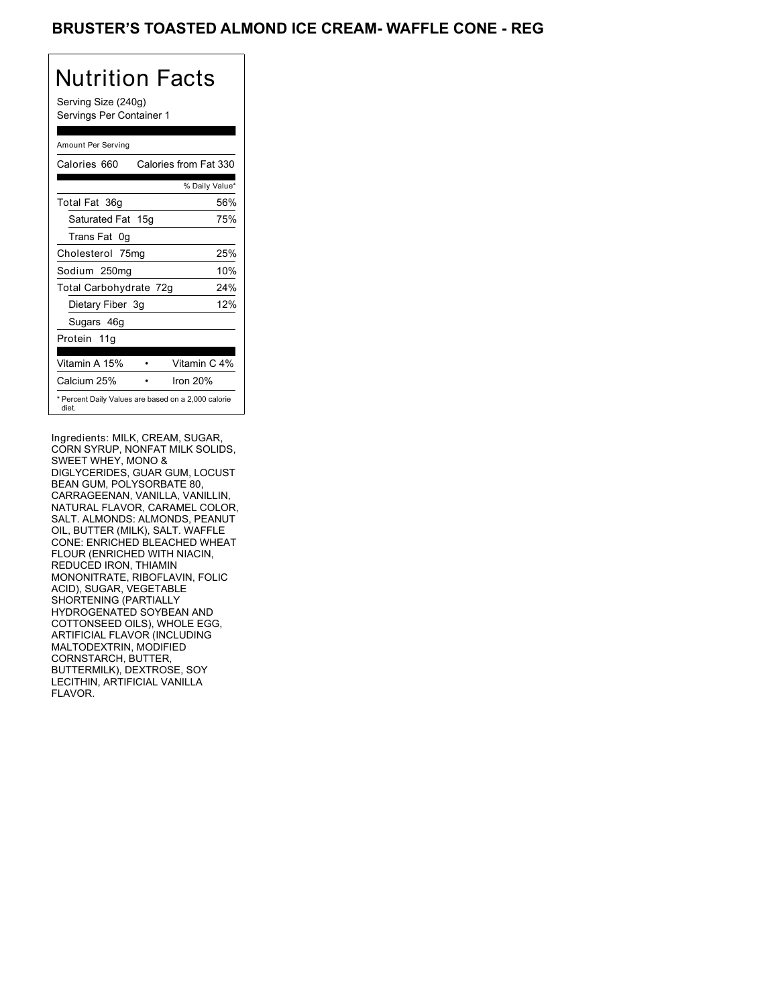## BRUSTER'S TOASTED ALMOND ICE CREAM- WAFFLE CONE - REG

## Nutrition Facts

Serving Size (240g) Servings Per Container 1

### Amount Per Serving

| Calories 660           | Calories from Fat 330                               |
|------------------------|-----------------------------------------------------|
|                        | % Daily Value*                                      |
| Total Fat 36g          | 56%                                                 |
| Saturated Fat 15g      | 75%                                                 |
| Trans Fat 0q           |                                                     |
| Cholesterol 75mg       | 25%                                                 |
| Sodium 250mg           | 10%                                                 |
| Total Carbohydrate 72g | 24%                                                 |
| Dietary Fiber 3g       | 12%                                                 |
| Sugars 46g             |                                                     |
| Protein 11g            |                                                     |
| Vitamin A 15%          | Vitamin C 4%                                        |
| Calcium 25%            | Iron $20%$                                          |
| diet.                  | * Percent Daily Values are based on a 2,000 calorie |

Ingredients: MILK, CREAM, SUGAR, CORN SYRUP, NONFAT MILK SOLIDS, SWEET WHEY, MONO & DIGLYCERIDES, GUAR GUM, LOCUST BEAN GUM, POLYSORBATE 80, CARRAGEENAN, VANILLA, VANILLIN, NATURAL FLAVOR, CARAMEL COLOR, SALT. ALMONDS: ALMONDS, PEANUT OIL, BUTTER (MILK), SALT. WAFFLE CONE: ENRICHED BLEACHED WHEAT FLOUR (ENRICHED WITH NIACIN, REDUCED IRON, THIAMIN MONONITRATE, RIBOFLAVIN, FOLIC ACID), SUGAR, VEGETABLE SHORTENING (PARTIALLY HYDROGENATED SOYBEAN AND COTTONSEED OILS), WHOLE EGG, ARTIFICIAL FLAVOR (INCLUDING MALTODEXTRIN, MODIFIED CORNSTARCH, BUTTER, BUTTERMILK), DEXTROSE, SOY LECITHIN, ARTIFICIAL VANILLA FLAVOR.